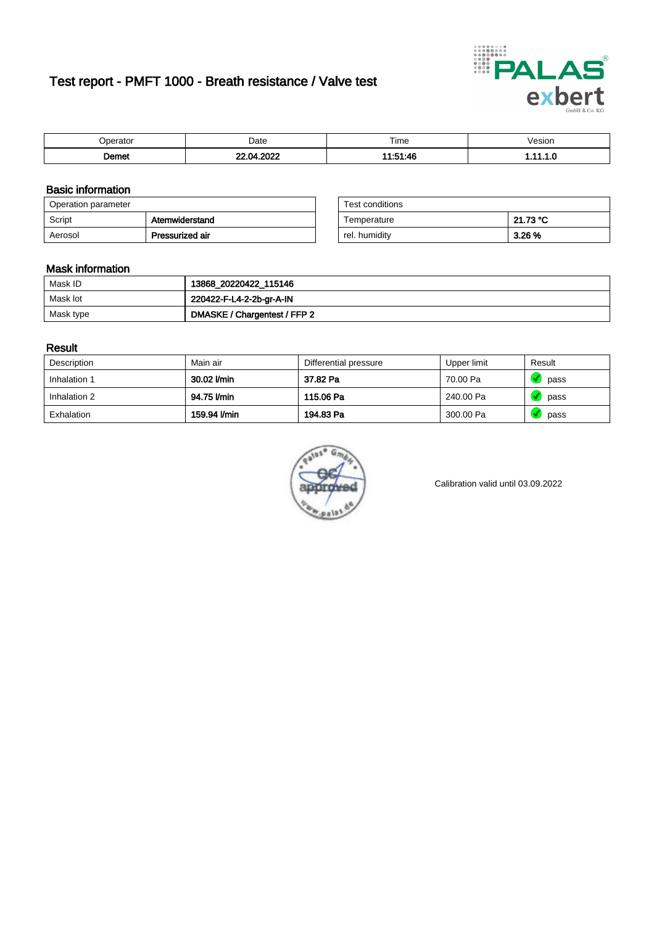# Test report - PMFT 1000 - Breath resistance / Valve test



| $.$ In orato $-$<br>'aī∩i | Date | $- \cdot$<br>Time     | esion |
|---------------------------|------|-----------------------|-------|
| <sub>ີ</sub> ດemet        | റററ  | $44 - 51 - 16$<br>- 1 | .     |

### Basic information

| Operation parameter |                 | Test conditions |          |
|---------------------|-----------------|-----------------|----------|
| Script              | Atemwiderstand  | Temperature     | 21.73 °C |
| Aerosol             | Pressurized air | rel. humidity   | 3.26 %   |

| Test conditions |          |
|-----------------|----------|
| Temperature     | 21.73 °C |
| rel. humidity   | 3.26 %   |

### Mask information

| Mask ID   | 13868_20220422_115146        |
|-----------|------------------------------|
| Mask lot  | 220422-F-L4-2-2b-gr-A-IN     |
| Mask type | DMASKE / Chargentest / FFP 2 |

### Result

| Description  | Main air     | Differential pressure | Upper limit | Result |
|--------------|--------------|-----------------------|-------------|--------|
| Inhalation 1 | 30.02 l/min  | 37.82 Pa              | 70.00 Pa    | pass   |
| Inhalation 2 | 94.75 l/min  | 115.06 Pa             | 240.00 Pa   | pass   |
| Exhalation   | 159.94 l/min | 194.83 Pa             | 300.00 Pa   | pass   |



Calibration valid until 03.09.2022